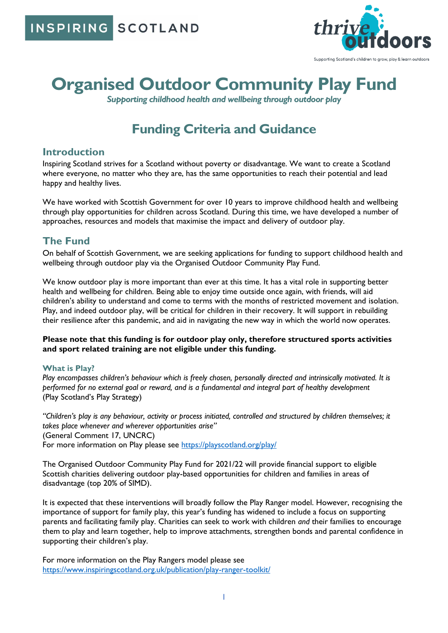**SCOTLAND** INSPIRING



# **Organised Outdoor Community Play Fund**

*Supporting childhood health and wellbeing through outdoor play*

## **Funding Criteria and Guidance**

## **Introduction**

Inspiring Scotland strives for a Scotland without poverty or disadvantage. We want to create a Scotland where everyone, no matter who they are, has the same opportunities to reach their potential and lead happy and healthy lives.

We have worked with Scottish Government for over 10 years to improve childhood health and wellbeing through play opportunities for children across Scotland. During this time, we have developed a number of approaches, resources and models that maximise the impact and delivery of outdoor play.

## **The Fund**

On behalf of Scottish Government, we are seeking applications for funding to support childhood health and wellbeing through outdoor play via the Organised Outdoor Community Play Fund.

We know outdoor play is more important than ever at this time. It has a vital role in supporting better health and wellbeing for children. Being able to enjoy time outside once again, with friends, will aid children's ability to understand and come to terms with the months of restricted movement and isolation. Play, and indeed outdoor play, will be critical for children in their recovery. It will support in rebuilding their resilience after this pandemic, and aid in navigating the new way in which the world now operates.

#### **Please note that this funding is for outdoor play only, therefore structured sports activities and sport related training are not eligible under this funding.**

#### **What is Play?**

Play encompasses children's behaviour which is freely chosen, personally directed and intrinsically motivated. It is *performed for no external goal or reward, and is a fundamental and integral part of healthy development* (Play Scotland's Play Strategy)

*"Children's play is any behaviour, activity or process initiated, controlled and structured by children themselves; it takes place whenever and wherever opportunities arise"* (General Comment 17, UNCRC) For more information on Play please see [https://playscotland.org/play/](https://playscotland.org/play/?fbclid=IwAR3FHPeLK7Wmmq6bcykn8LhITOVVhMlRAS8KtbFUr2CJ_WuYJ96mLev-ZO4)

The Organised Outdoor Community Play Fund for 2021/22 will provide financial support to eligible Scottish charities delivering outdoor play-based opportunities for children and families in areas of disadvantage (top 20% of SIMD).

It is expected that these interventions will broadly follow the Play Ranger model. However, recognising the importance of support for family play, this year's funding has widened to include a focus on supporting parents and facilitating family play. Charities can seek to work with children *and* their families to encourage them to play and learn together, help to improve attachments, strengthen bonds and parental confidence in supporting their children's play.

For more information on the Play Rangers model please see <https://www.inspiringscotland.org.uk/publication/play-ranger-toolkit/>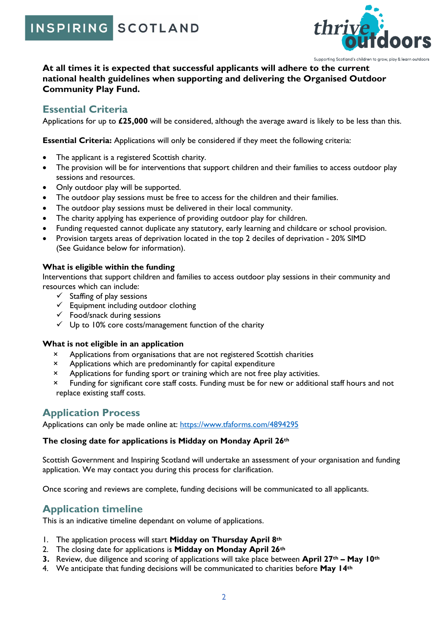INSPIRING SCOTLAND



**At all times it is expected that successful applicants will adhere to the current national health guidelines when supporting and delivering the Organised Outdoor Community Play Fund.**

## **Essential Criteria**

Applications for up to **£25,000** will be considered, although the average award is likely to be less than this.

**Essential Criteria:** Applications will only be considered if they meet the following criteria:

- The applicant is a registered Scottish charity.
- The provision will be for interventions that support children and their families to access outdoor play sessions and resources.
- Only outdoor play will be supported.
- The outdoor play sessions must be free to access for the children and their families.
- The outdoor play sessions must be delivered in their local community.
- The charity applying has experience of providing outdoor play for children.
- Funding requested cannot duplicate any statutory, early learning and childcare or school provision.
- Provision targets areas of deprivation located in the top 2 deciles of deprivation 20% SIMD (See Guidance below for information).

#### **What is eligible within the funding**

Interventions that support children and families to access outdoor play sessions in their community and resources which can include:

- $\checkmark$  Staffing of play sessions
- $\checkmark$  Equipment including outdoor clothing
- $\checkmark$  Food/snack during sessions
- ✓ Up to 10% core costs/management function of the charity

#### **What is not eligible in an application**

- Applications from organisations that are not registered Scottish charities
- × Applications which are predominantly for capital expenditure
- × Applications for funding sport or training which are not free play activities.
- × Funding for significant core staff costs. Funding must be for new or additional staff hours and not replace existing staff costs.

## **Application Process**

Applications can only be made online at: <https://www.tfaforms.com/4894295>

#### **The closing date for applications is Midday on Monday April 26th**

Scottish Government and Inspiring Scotland will undertake an assessment of your organisation and funding application. We may contact you during this process for clarification.

Once scoring and reviews are complete, funding decisions will be communicated to all applicants.

## **Application timeline**

This is an indicative timeline dependant on volume of applications.

- 1. The application process will start **Midday on Thursday April 8th**
- 2. The closing date for applications is **Midday on Monday April 26th**
- **3.** Review, due diligence and scoring of applications will take place between **April 27th – May 10th**
- 4. We anticipate that funding decisions will be communicated to charities before **May 14th**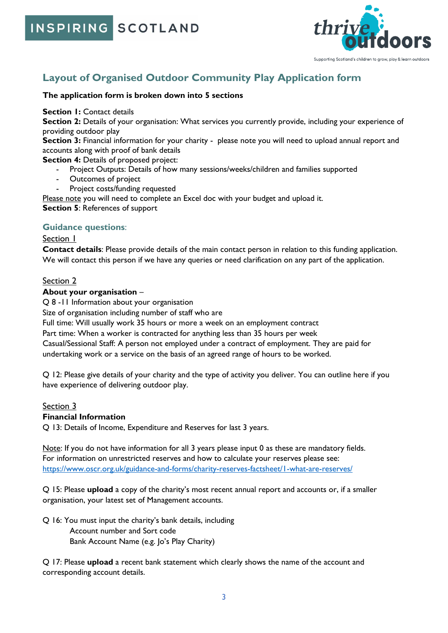INSPIRING SCOTLAND



## **Layout of Organised Outdoor Community Play Application form**

#### **The application form is broken down into 5 sections**

#### **Section 1: Contact details**

**Section 2:** Details of your organisation: What services you currently provide, including your experience of providing outdoor play

Section 3: Financial information for your charity - please note you will need to upload annual report and accounts along with proof of bank details

**Section 4: Details of proposed project:** 

- Project Outputs: Details of how many sessions/weeks/children and families supported
- Outcomes of project
- Project costs/funding requested

Please note you will need to complete an Excel doc with your budget and upload it. **Section 5**: References of support

#### **Guidance questions**:

#### Section 1

**Contact details**: Please provide details of the main contact person in relation to this funding application. We will contact this person if we have any queries or need clarification on any part of the application.

#### Section 2

#### **About your organisation** –

Q 8 -11 Information about your organisation

Size of organisation including number of staff who are

Full time: Will usually work 35 hours or more a week on an employment contract

Part time: When a worker is contracted for anything less than 35 hours per week

Casual/Sessional Staff: A person not employed under a contract of employment. They are paid for undertaking work or a service on the basis of an agreed range of hours to be worked.

Q 12: Please give details of your charity and the type of activity you deliver. You can outline here if you have experience of delivering outdoor play.

#### Section 3

#### **Financial Information**

Q 13: Details of Income, Expenditure and Reserves for last 3 years.

Note: If you do not have information for all 3 years please input 0 as these are mandatory fields. For information on unrestricted reserves and how to calculate your reserves please see: <https://www.oscr.org.uk/guidance-and-forms/charity-reserves-factsheet/1-what-are-reserves/>

Q 15: Please **upload** a copy of the charity's most recent annual report and accounts or, if a smaller organisation, your latest set of Management accounts.

Q 16: You must input the charity's bank details, including Account number and Sort code Bank Account Name (e.g. Jo's Play Charity)

Q 17: Please **upload** a recent bank statement which clearly shows the name of the account and corresponding account details.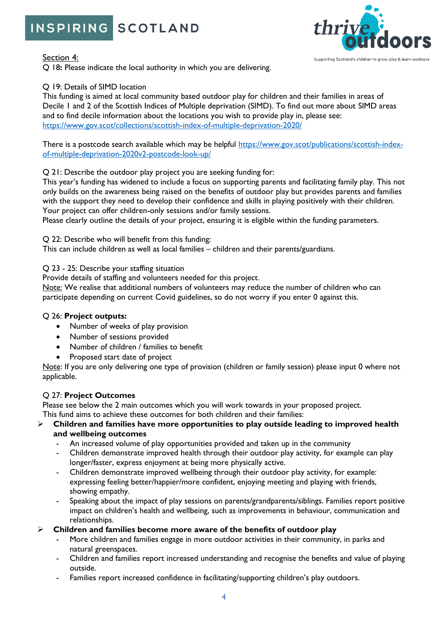## INSPIRING SCOTLAND



Q 18**:** Please indicate the local authority in which you are delivering.

#### Q 19: Details of SIMD location

This funding is aimed at local community based outdoor play for children and their families in areas of Decile 1 and 2 of the Scottish Indices of Multiple deprivation (SIMD). To find out more about SIMD areas and to find decile information about the locations you wish to provide play in, please see: <https://www.gov.scot/collections/scottish-index-of-multiple-deprivation-2020/>

There is a postcode search available which may be helpful [https://www.gov.scot/publications/scottish-index](https://www.gov.scot/publications/scottish-index-of-multiple-deprivation-2020v2-postcode-look-up/)[of-multiple-deprivation-2020v2-postcode-look-up/](https://www.gov.scot/publications/scottish-index-of-multiple-deprivation-2020v2-postcode-look-up/)

#### Q 21: Describe the outdoor play project you are seeking funding for:

This year's funding has widened to include a focus on supporting parents and facilitating family play. This not only builds on the awareness being raised on the benefits of outdoor play but provides parents and families with the support they need to develop their confidence and skills in playing positively with their children. Your project can offer children-only sessions and/or family sessions.

Please clearly outline the details of your project, ensuring it is eligible within the funding parameters.

Q 22: Describe who will benefit from this funding:

This can include children as well as local families – children and their parents/guardians.

#### Q 23 - 25: Describe your staffing situation

Provide details of staffing and volunteers needed for this project.

Note: We realise that additional numbers of volunteers may reduce the number of children who can participate depending on current Covid guidelines, so do not worry if you enter 0 against this.

#### Q 26: **Project outputs:**

- Number of weeks of play provision
- Number of sessions provided
- Number of children / families to benefit
- Proposed start date of project

Note: If you are only delivering one type of provision (children or family session) please input 0 where not applicable.

#### Q 27: **Project Outcomes**

Please see below the 2 main outcomes which you will work towards in your proposed project.

This fund aims to achieve these outcomes for both children and their families:

- ➢ **Children and families have more opportunities to play outside leading to improved health and wellbeing outcomes**
	- An increased volume of play opportunities provided and taken up in the community
	- Children demonstrate improved health through their outdoor play activity, for example can play longer/faster, express enjoyment at being more physically active.
	- Children demonstrate improved wellbeing through their outdoor play activity, for example: expressing feeling better/happier/more confident, enjoying meeting and playing with friends, showing empathy.
	- Speaking about the impact of play sessions on parents/grandparents/siblings. Families report positive impact on children's health and wellbeing, such as improvements in behaviour, communication and relationships.

#### ➢ **Children and families become more aware of the benefits of outdoor play**

- More children and families engage in more outdoor activities in their community, in parks and natural greenspaces.
- Children and families report increased understanding and recognise the benefits and value of playing outside.
- Families report increased confidence in facilitating/supporting children's play outdoors.